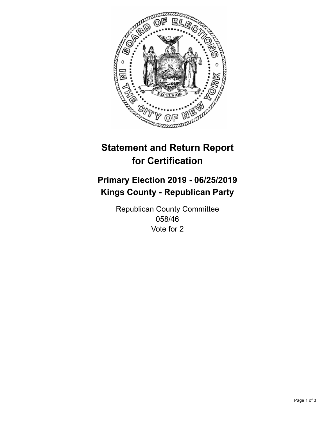

## **Statement and Return Report for Certification**

## **Primary Election 2019 - 06/25/2019 Kings County - Republican Party**

Republican County Committee 058/46 Vote for 2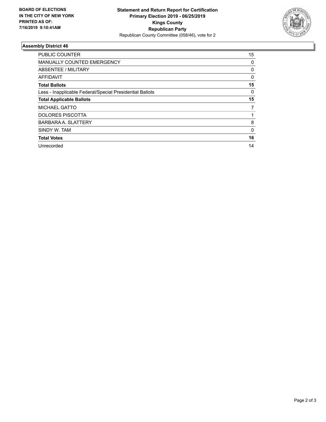

## **Assembly District 46**

| <b>PUBLIC COUNTER</b>                                    | 15       |
|----------------------------------------------------------|----------|
| <b>MANUALLY COUNTED EMERGENCY</b>                        | 0        |
| ABSENTEE / MILITARY                                      | 0        |
| AFFIDAVIT                                                | $\Omega$ |
| <b>Total Ballots</b>                                     | 15       |
| Less - Inapplicable Federal/Special Presidential Ballots | 0        |
| <b>Total Applicable Ballots</b>                          | 15       |
| <b>MICHAEL GATTO</b>                                     | 7        |
| <b>DOLORES PISCOTTA</b>                                  |          |
| <b>BARBARA A. SLATTERY</b>                               | 8        |
| SINDY W. TAM                                             | 0        |
| <b>Total Votes</b>                                       | 16       |
| Unrecorded                                               | 14       |